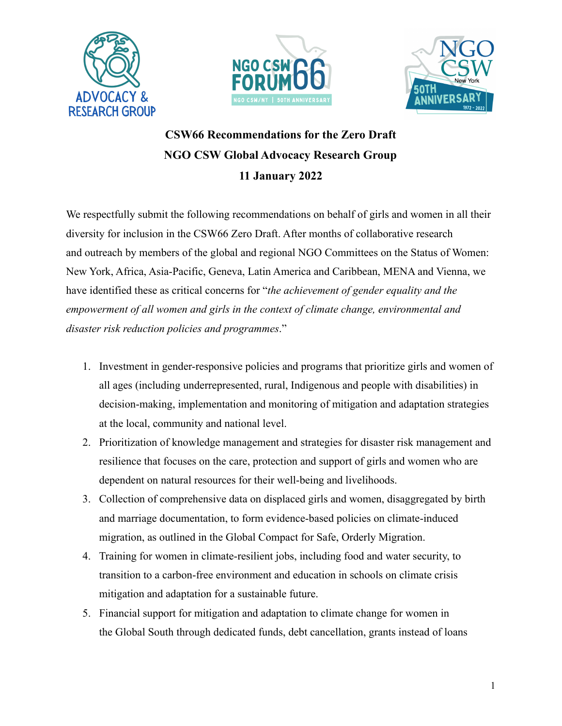





## **CSW66 Recommendations for the Zero Draft NGO CSW Global Advocacy Research Group 11 January 2022**

We respectfully submit the following recommendations on behalf of girls and women in all their diversity for inclusion in the CSW66 Zero Draft. After months of collaborative research and outreach by members of the global and regional NGO Committees on the Status of Women: New York, Africa, Asia-Pacific, Geneva, Latin America and Caribbean, MENA and Vienna, we have identified these as critical concerns for "*the achievement of gender equality and the empowerment of all women and girls in the context of climate change, environmental and disaster risk reduction policies and programmes*."

- 1. Investment in gender-responsive policies and programs that prioritize girls and women of all ages (including underrepresented, rural, Indigenous and people with disabilities) in decision-making, implementation and monitoring of mitigation and adaptation strategies at the local, community and national level.
- 2. Prioritization of knowledge management and strategies for disaster risk management and resilience that focuses on the care, protection and support of girls and women who are dependent on natural resources for their well-being and livelihoods.
- 3. Collection of comprehensive data on displaced girls and women, disaggregated by birth and marriage documentation, to form evidence-based policies on climate-induced migration, as outlined in the Global Compact for Safe, Orderly Migration.
- 4. Training for women in climate-resilient jobs, including food and water security, to transition to a carbon-free environment and education in schools on climate crisis mitigation and adaptation for a sustainable future.
- 5. Financial support for mitigation and adaptation to climate change for women in the Global South through dedicated funds, debt cancellation, grants instead of loans